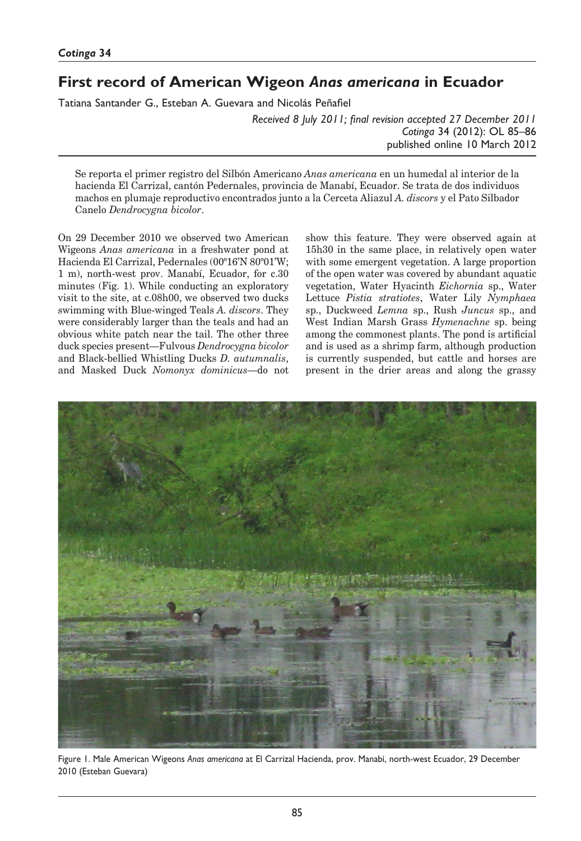# **First record of American Wigeon** *Anas americana* **in Ecuador**

Tatiana Santander G., Esteban A. Guevara and Nicolás Peñafiel

*Received 8 July 2011; final revision accepted 27 December 2011 Cotinga* 34 (2012): OL 85–86 published online 10 March 2012

Se reporta el primer registro del Silbón Americano *Anas americana* en un humedal al interior de la hacienda El Carrizal, cantón Pedernales, provincia de Manabí, Ecuador. Se trata de dos individuos machos en plumaje reproductivo encontrados junto a la Cerceta Aliazul *A. discors* y el Pato Silbador Canelo *Dendrocygna bicolor*.

On 29 December 2010 we observed two American Wigeons *Anas americana* in a freshwater pond at Hacienda El Carrizal, Pedernales (00º16'N 80º01'W; 1 m), north-west prov. Manabí, Ecuador, for c.30 minutes (Fig. 1). While conducting an exploratory visit to the site, at c.08h00, we observed two ducks swimming with Blue-winged Teals *A. discors*. They were considerably larger than the teals and had an obvious white patch near the tail. The other three duck species present—Fulvous *Dendrocygna bicolor* and Black-bellied Whistling Ducks *D. autumnalis*, and Masked Duck *Nomonyx dominicus*—do not

show this feature. They were observed again at 15h30 in the same place, in relatively open water with some emergent vegetation. A large proportion of the open water was covered by abundant aquatic vegetation, Water Hyacinth *Eichornia* sp., Water Lettuce *Pistia stratiotes*, Water Lily *Nymphaea*  sp., Duckweed *Lemna* sp., Rush *Juncus* sp., and West Indian Marsh Grass *Hymenachne* sp. being among the commonest plants. The pond is artificial and is used as a shrimp farm, although production is currently suspended, but cattle and horses are present in the drier areas and along the grassy



Figure 1. Male American Wigeons *Anas americana* at El Carrizal Hacienda, prov. Manabí, north-west Ecuador, 29 December 2010 (Esteban Guevara)